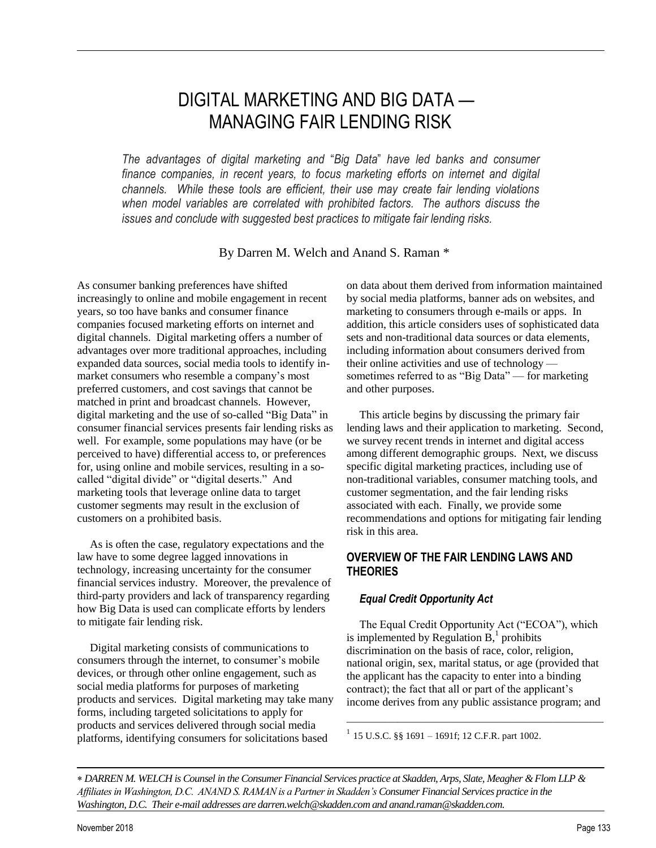# DIGITAL MARKETING AND BIG DATA — MANAGING FAIR LENDING RISK

*The advantages of digital marketing and* "*Big Data*" *have led banks and consumer finance companies, in recent years, to focus marketing efforts on internet and digital channels. While these tools are efficient, their use may create fair lending violations when model variables are correlated with prohibited factors. The authors discuss the issues and conclude with suggested best practices to mitigate fair lending risks.*

By Darren M. Welch and Anand S. Raman \*

As consumer banking preferences have shifted increasingly to online and mobile engagement in recent years, so too have banks and consumer finance companies focused marketing efforts on internet and digital channels. Digital marketing offers a number of advantages over more traditional approaches, including expanded data sources, social media tools to identify inmarket consumers who resemble a company's most preferred customers, and cost savings that cannot be matched in print and broadcast channels. However, digital marketing and the use of so-called "Big Data" in consumer financial services presents fair lending risks as well. For example, some populations may have (or be perceived to have) differential access to, or preferences for, using online and mobile services, resulting in a socalled "digital divide" or "digital deserts." And marketing tools that leverage online data to target customer segments may result in the exclusion of customers on a prohibited basis.

As is often the case, regulatory expectations and the law have to some degree lagged innovations in technology, increasing uncertainty for the consumer financial services industry. Moreover, the prevalence of third-party providers and lack of transparency regarding how Big Data is used can complicate efforts by lenders to mitigate fair lending risk.

Digital marketing consists of communications to consumers through the internet, to consumer's mobile devices, or through other online engagement, such as social media platforms for purposes of marketing products and services. Digital marketing may take many forms, including targeted solicitations to apply for products and services delivered through social media platforms, identifying consumers for solicitations based

on data about them derived from information maintained by social media platforms, banner ads on websites, and marketing to consumers through e-mails or apps. In addition, this article considers uses of sophisticated data sets and non-traditional data sources or data elements, including information about consumers derived from their online activities and use of technology sometimes referred to as "Big Data" — for marketing and other purposes.

This article begins by discussing the primary fair lending laws and their application to marketing. Second, we survey recent trends in internet and digital access among different demographic groups. Next, we discuss specific digital marketing practices, including use of non-traditional variables, consumer matching tools, and customer segmentation, and the fair lending risks associated with each. Finally, we provide some recommendations and options for mitigating fair lending risk in this area.

# **OVERVIEW OF THE FAIR LENDING LAWS AND THEORIES**

# *Equal Credit Opportunity Act*

The Equal Credit Opportunity Act ("ECOA"), which is implemented by Regulation  $\overrightarrow{B}$ ,<sup>1</sup> prohibits discrimination on the basis of race, color, religion, national origin, sex, marital status, or age (provided that the applicant has the capacity to enter into a binding contract); the fact that all or part of the applicant's income derives from any public assistance program; and

————————————————————

 $1$  15 U.S.C. §§ 1691 – 1691f; 12 C.F.R. part 1002.

 *DARREN M. WELCH is Counsel in the Consumer Financial Services practice at Skadden, Arps, Slate, Meagher & Flom LLP & Affiliates in Washington, D.C. ANAND S. RAMAN is a Partner in Skadden's Consumer Financial Services practice in the Washington, D.C. Their e*-*mail addresses are darren.welch@skadden.com and anand.raman@skadden.com.*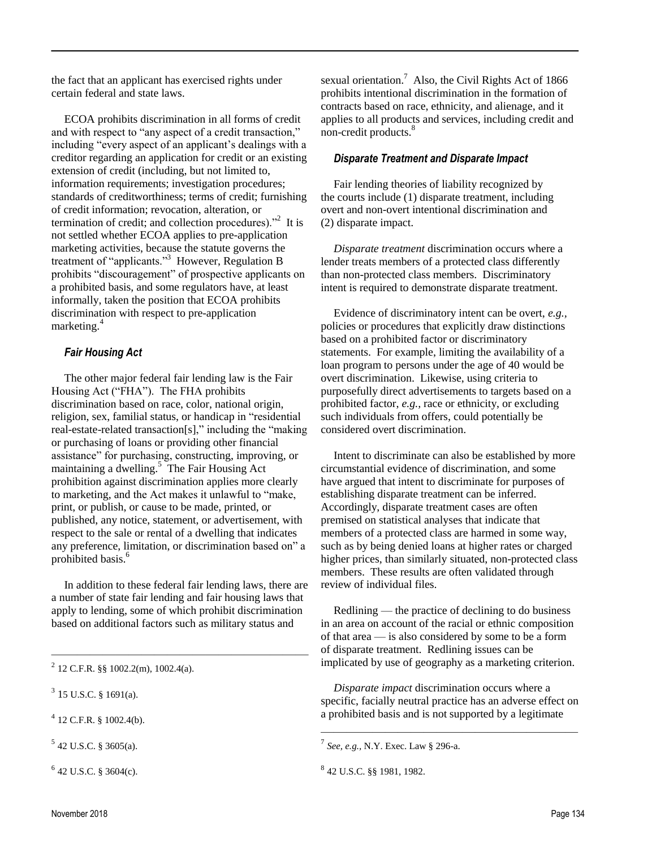the fact that an applicant has exercised rights under certain federal and state laws.

ECOA prohibits discrimination in all forms of credit and with respect to "any aspect of a credit transaction," including "every aspect of an applicant's dealings with a creditor regarding an application for credit or an existing extension of credit (including, but not limited to, information requirements; investigation procedures; standards of creditworthiness; terms of credit; furnishing of credit information; revocation, alteration, or termination of credit; and collection procedures). $^{22}$  It is not settled whether ECOA applies to pre-application marketing activities, because the statute governs the treatment of "applicants."<sup>3</sup> However, Regulation B prohibits "discouragement" of prospective applicants on a prohibited basis, and some regulators have, at least informally, taken the position that ECOA prohibits discrimination with respect to pre-application marketing.<sup>4</sup>

#### *Fair Housing Act*

The other major federal fair lending law is the Fair Housing Act ("FHA"). The FHA prohibits discrimination based on race, color, national origin, religion, sex, familial status, or handicap in "residential real-estate-related transaction[s]," including the "making or purchasing of loans or providing other financial assistance" for purchasing, constructing, improving, or maintaining a dwelling.<sup>5</sup> The Fair Housing Act prohibition against discrimination applies more clearly to marketing, and the Act makes it unlawful to "make, print, or publish, or cause to be made, printed, or published, any notice, statement, or advertisement, with respect to the sale or rental of a dwelling that indicates any preference, limitation, or discrimination based on" a prohibited basis.<sup>6</sup>

In addition to these federal fair lending laws, there are a number of state fair lending and fair housing laws that apply to lending, some of which prohibit discrimination based on additional factors such as military status and

————————————————————

 $5$  42 U.S.C. § 3605(a).

 $642$  U.S.C. § 3604(c).

sexual orientation.<sup>7</sup> Also, the Civil Rights Act of 1866 prohibits intentional discrimination in the formation of contracts based on race, ethnicity, and alienage, and it applies to all products and services, including credit and non-credit products.<sup>8</sup>

#### *Disparate Treatment and Disparate Impact*

Fair lending theories of liability recognized by the courts include (1) disparate treatment, including overt and non-overt intentional discrimination and (2) disparate impact.

*Disparate treatment* discrimination occurs where a lender treats members of a protected class differently than non-protected class members. Discriminatory intent is required to demonstrate disparate treatment.

Evidence of discriminatory intent can be overt, *e.g.,* policies or procedures that explicitly draw distinctions based on a prohibited factor or discriminatory statements. For example, limiting the availability of a loan program to persons under the age of 40 would be overt discrimination. Likewise, using criteria to purposefully direct advertisements to targets based on a prohibited factor, *e.g.,* race or ethnicity, or excluding such individuals from offers, could potentially be considered overt discrimination.

Intent to discriminate can also be established by more circumstantial evidence of discrimination, and some have argued that intent to discriminate for purposes of establishing disparate treatment can be inferred. Accordingly, disparate treatment cases are often premised on statistical analyses that indicate that members of a protected class are harmed in some way, such as by being denied loans at higher rates or charged higher prices, than similarly situated, non-protected class members. These results are often validated through review of individual files.

Redlining — the practice of declining to do business in an area on account of the racial or ethnic composition of that area — is also considered by some to be a form of disparate treatment. Redlining issues can be implicated by use of geography as a marketing criterion.

*Disparate impact* discrimination occurs where a specific, facially neutral practice has an adverse effect on a prohibited basis and is not supported by a legitimate

————————————————————

 $^{2}$  12 C.F.R. §§ 1002.2(m), 1002.4(a).

 $3$  15 U.S.C. § 1691(a).

 $4$  12 C.F.R. § 1002.4(b).

<sup>7</sup> *See, e.g.,* N.Y. Exec. Law § 296-a.

<sup>8</sup> 42 U.S.C. §§ 1981, 1982.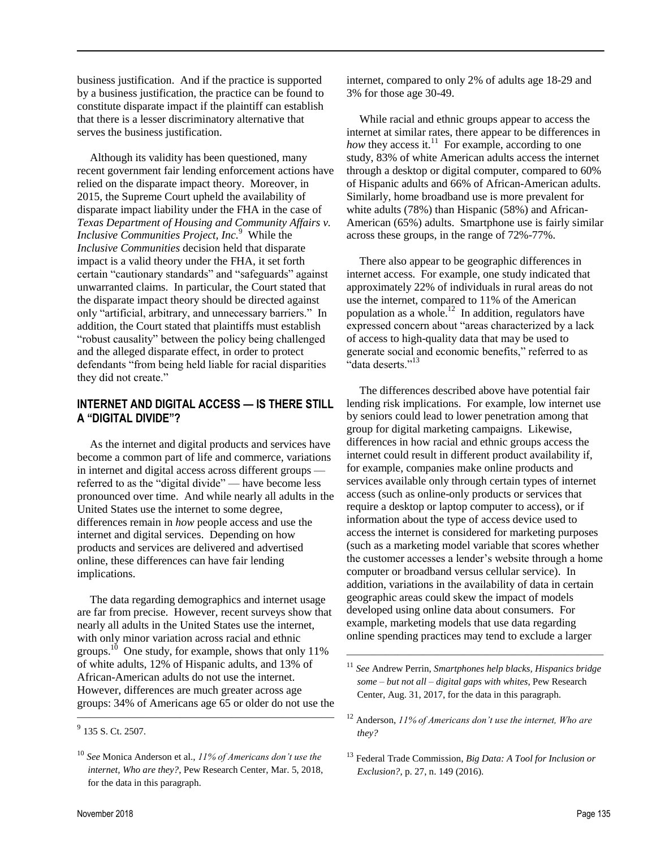business justification. And if the practice is supported by a business justification, the practice can be found to constitute disparate impact if the plaintiff can establish that there is a lesser discriminatory alternative that serves the business justification.

Although its validity has been questioned, many recent government fair lending enforcement actions have relied on the disparate impact theory. Moreover, in 2015, the Supreme Court upheld the availability of disparate impact liability under the FHA in the case of *Texas Department of Housing and Community Affairs v. Inclusive Communities Project, Inc.*<sup>9</sup> While the *Inclusive Communities* decision held that disparate impact is a valid theory under the FHA, it set forth certain "cautionary standards" and "safeguards" against unwarranted claims. In particular, the Court stated that the disparate impact theory should be directed against only "artificial, arbitrary, and unnecessary barriers." In addition, the Court stated that plaintiffs must establish "robust causality" between the policy being challenged and the alleged disparate effect, in order to protect defendants "from being held liable for racial disparities they did not create."

## **INTERNET AND DIGITAL ACCESS — IS THERE STILL A "DIGITAL DIVIDE"?**

As the internet and digital products and services have become a common part of life and commerce, variations in internet and digital access across different groups referred to as the "digital divide" — have become less pronounced over time. And while nearly all adults in the United States use the internet to some degree, differences remain in *how* people access and use the internet and digital services. Depending on how products and services are delivered and advertised online, these differences can have fair lending implications.

The data regarding demographics and internet usage are far from precise. However, recent surveys show that nearly all adults in the United States use the internet, with only minor variation across racial and ethnic groups.<sup>10</sup> One study, for example, shows that only 11% of white adults, 12% of Hispanic adults, and 13% of African-American adults do not use the internet. However, differences are much greater across age groups: 34% of Americans age 65 or older do not use the

————————————————————

internet, compared to only 2% of adults age 18-29 and 3% for those age 30-49.

While racial and ethnic groups appear to access the internet at similar rates, there appear to be differences in how they access it.<sup>11</sup> For example, according to one study, 83% of white American adults access the internet through a desktop or digital computer, compared to 60% of Hispanic adults and 66% of African-American adults. Similarly, home broadband use is more prevalent for white adults (78%) than Hispanic (58%) and African-American (65%) adults. Smartphone use is fairly similar across these groups, in the range of 72%-77%.

There also appear to be geographic differences in internet access. For example, one study indicated that approximately 22% of individuals in rural areas do not use the internet, compared to 11% of the American population as a whole. $12$  In addition, regulators have expressed concern about "areas characterized by a lack of access to high-quality data that may be used to generate social and economic benefits," referred to as  $\cdot$ <sup>"</sup>data deserts."<sup>13</sup>

The differences described above have potential fair lending risk implications. For example, low internet use by seniors could lead to lower penetration among that group for digital marketing campaigns. Likewise, differences in how racial and ethnic groups access the internet could result in different product availability if, for example, companies make online products and services available only through certain types of internet access (such as online-only products or services that require a desktop or laptop computer to access), or if information about the type of access device used to access the internet is considered for marketing purposes (such as a marketing model variable that scores whether the customer accesses a lender's website through a home computer or broadband versus cellular service). In addition, variations in the availability of data in certain geographic areas could skew the impact of models developed using online data about consumers. For example, marketing models that use data regarding online spending practices may tend to exclude a larger

————————————————————

 $9$  135 S. Ct. 2507.

<sup>10</sup> *See* Monica Anderson et al., *11% of Americans don't use the internet, Who are they?*, Pew Research Center, Mar. 5, 2018, for the data in this paragraph.

<sup>11</sup> *See* Andrew Perrin, *Smartphones help blacks, Hispanics bridge some – but not all – digital gaps with whites*, Pew Research Center, Aug. 31, 2017, for the data in this paragraph.

<sup>12</sup> Anderson, *11% of Americans don't use the internet, Who are they?*

<sup>13</sup> Federal Trade Commission, *Big Data: A Tool for Inclusion or Exclusion?*, p. 27, n. 149 (2016).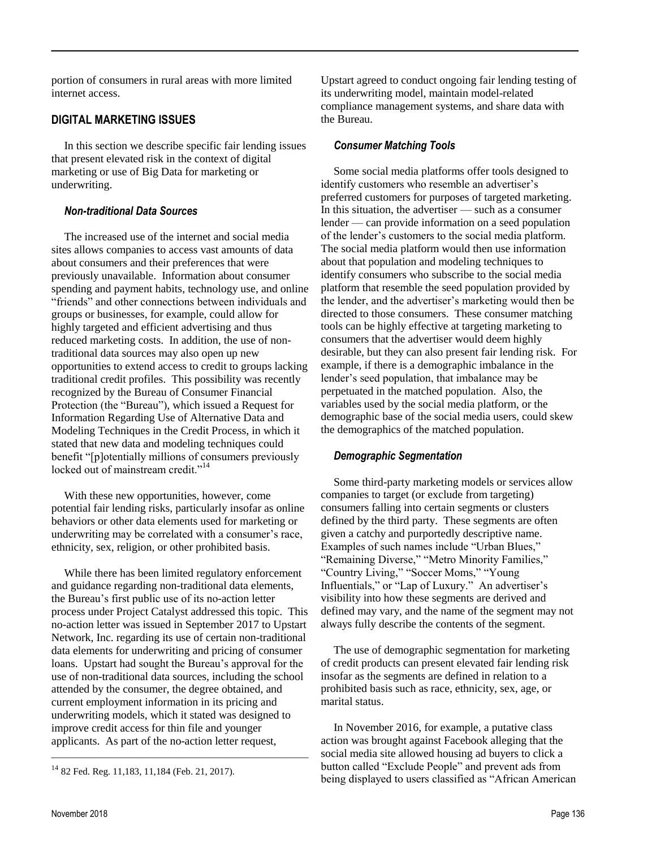portion of consumers in rural areas with more limited internet access.

## **DIGITAL MARKETING ISSUES**

In this section we describe specific fair lending issues that present elevated risk in the context of digital marketing or use of Big Data for marketing or underwriting.

#### *Non-traditional Data Sources*

The increased use of the internet and social media sites allows companies to access vast amounts of data about consumers and their preferences that were previously unavailable. Information about consumer spending and payment habits, technology use, and online "friends" and other connections between individuals and groups or businesses, for example, could allow for highly targeted and efficient advertising and thus reduced marketing costs. In addition, the use of nontraditional data sources may also open up new opportunities to extend access to credit to groups lacking traditional credit profiles. This possibility was recently recognized by the Bureau of Consumer Financial Protection (the "Bureau"), which issued a Request for Information Regarding Use of Alternative Data and Modeling Techniques in the Credit Process, in which it stated that new data and modeling techniques could benefit "[p]otentially millions of consumers previously locked out of mainstream credit."<sup>14</sup>

With these new opportunities, however, come potential fair lending risks, particularly insofar as online behaviors or other data elements used for marketing or underwriting may be correlated with a consumer's race, ethnicity, sex, religion, or other prohibited basis.

While there has been limited regulatory enforcement and guidance regarding non-traditional data elements, the Bureau's first public use of its no-action letter process under Project Catalyst addressed this topic. This no-action letter was issued in September 2017 to Upstart Network, Inc. regarding its use of certain non-traditional data elements for underwriting and pricing of consumer loans. Upstart had sought the Bureau's approval for the use of non-traditional data sources, including the school attended by the consumer, the degree obtained, and current employment information in its pricing and underwriting models, which it stated was designed to improve credit access for thin file and younger applicants. As part of the no-action letter request,

————————————————————

Upstart agreed to conduct ongoing fair lending testing of its underwriting model, maintain model-related compliance management systems, and share data with the Bureau.

### *Consumer Matching Tools*

Some social media platforms offer tools designed to identify customers who resemble an advertiser's preferred customers for purposes of targeted marketing. In this situation, the advertiser — such as a consumer lender — can provide information on a seed population of the lender's customers to the social media platform. The social media platform would then use information about that population and modeling techniques to identify consumers who subscribe to the social media platform that resemble the seed population provided by the lender, and the advertiser's marketing would then be directed to those consumers. These consumer matching tools can be highly effective at targeting marketing to consumers that the advertiser would deem highly desirable, but they can also present fair lending risk. For example, if there is a demographic imbalance in the lender's seed population, that imbalance may be perpetuated in the matched population. Also, the variables used by the social media platform, or the demographic base of the social media users, could skew the demographics of the matched population.

#### *Demographic Segmentation*

Some third-party marketing models or services allow companies to target (or exclude from targeting) consumers falling into certain segments or clusters defined by the third party. These segments are often given a catchy and purportedly descriptive name. Examples of such names include "Urban Blues," "Remaining Diverse," "Metro Minority Families," "Country Living," "Soccer Moms," "Young Influentials," or "Lap of Luxury." An advertiser's visibility into how these segments are derived and defined may vary, and the name of the segment may not always fully describe the contents of the segment.

The use of demographic segmentation for marketing of credit products can present elevated fair lending risk insofar as the segments are defined in relation to a prohibited basis such as race, ethnicity, sex, age, or marital status.

In November 2016, for example, a putative class action was brought against Facebook alleging that the social media site allowed housing ad buyers to click a button called "Exclude People" and prevent ads from being displayed to users classified as "African American

<sup>14</sup> 82 Fed. Reg. 11,183, 11,184 (Feb. 21, 2017).